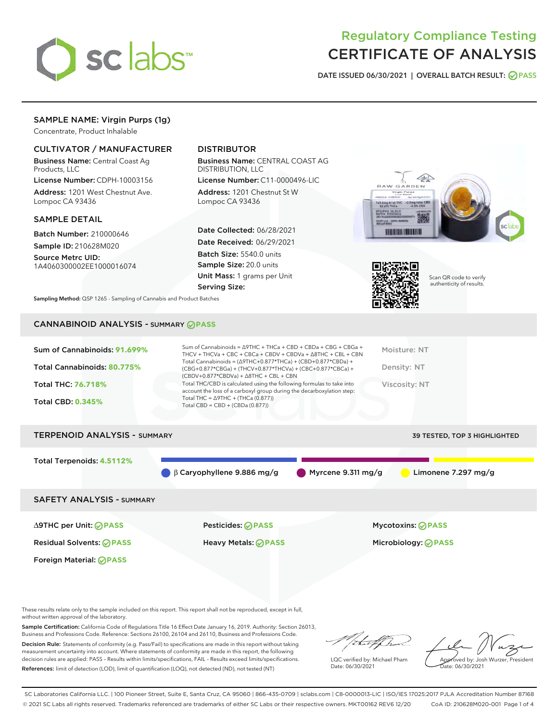

# Regulatory Compliance Testing CERTIFICATE OF ANALYSIS

DATE ISSUED 06/30/2021 | OVERALL BATCH RESULT: @ PASS

# SAMPLE NAME: Virgin Purps (1g)

Concentrate, Product Inhalable

# CULTIVATOR / MANUFACTURER

Business Name: Central Coast Ag Products, LLC

License Number: CDPH-10003156 Address: 1201 West Chestnut Ave. Lompoc CA 93436

# SAMPLE DETAIL

Batch Number: 210000646 Sample ID: 210628M020

Source Metrc UID: 1A4060300002EE1000016074

# DISTRIBUTOR

Business Name: CENTRAL COAST AG DISTRIBUTION, LLC

License Number: C11-0000496-LIC Address: 1201 Chestnut St W Lompoc CA 93436

Date Collected: 06/28/2021 Date Received: 06/29/2021 Batch Size: 5540.0 units Sample Size: 20.0 units Unit Mass: 1 grams per Unit Serving Size:





Scan QR code to verify authenticity of results.

Sampling Method: QSP 1265 - Sampling of Cannabis and Product Batches

# CANNABINOID ANALYSIS - SUMMARY **PASS**

# TERPENOID ANALYSIS - SUMMARY 39 TESTED, TOP 3 HIGHLIGHTED

Total Terpenoids: **4.5112%**

β Caryophyllene 9.886 mg/g Myrcene 9.311 mg/g Limonene 7.297 mg/g

# SAFETY ANALYSIS - SUMMARY

∆9THC per Unit: **PASS** Pesticides: **PASS** Mycotoxins: **PASS**

Foreign Material: **PASS**

Residual Solvents: **PASS** Heavy Metals: **PASS** Microbiology: **PASS**

These results relate only to the sample included on this report. This report shall not be reproduced, except in full, without written approval of the laboratory.

Sample Certification: California Code of Regulations Title 16 Effect Date January 16, 2019. Authority: Section 26013, Business and Professions Code. Reference: Sections 26100, 26104 and 26110, Business and Professions Code.

Decision Rule: Statements of conformity (e.g. Pass/Fail) to specifications are made in this report without taking measurement uncertainty into account. Where statements of conformity are made in this report, the following decision rules are applied: PASS – Results within limits/specifications, FAIL – Results exceed limits/specifications. References: limit of detection (LOD), limit of quantification (LOQ), not detected (ND), not tested (NT)

that fCh

LQC verified by: Michael Pham Date: 06/30/2021

Approved by: Josh Wurzer, President ate: 06/30/2021

SC Laboratories California LLC. | 100 Pioneer Street, Suite E, Santa Cruz, CA 95060 | 866-435-0709 | sclabs.com | C8-0000013-LIC | ISO/IES 17025:2017 PJLA Accreditation Number 87168 © 2021 SC Labs all rights reserved. Trademarks referenced are trademarks of either SC Labs or their respective owners. MKT00162 REV6 12/20 CoA ID: 210628M020-001 Page 1 of 4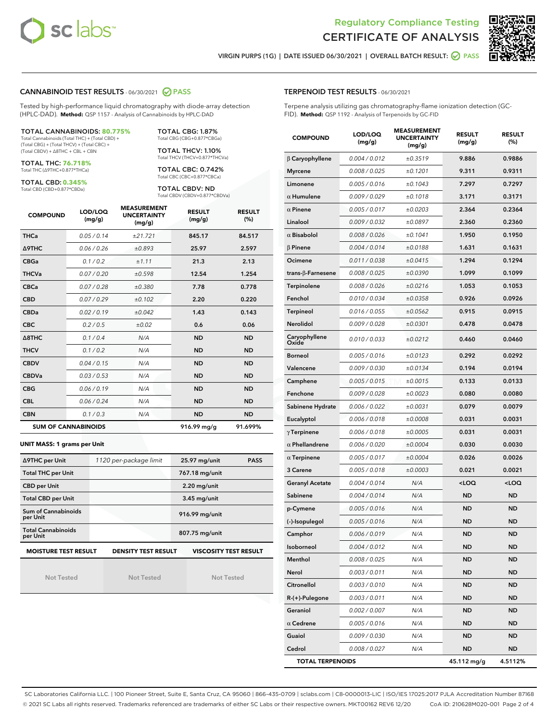



VIRGIN PURPS (1G) | DATE ISSUED 06/30/2021 | OVERALL BATCH RESULT: ◯ PASS

### CANNABINOID TEST RESULTS - 06/30/2021 2 PASS

Tested by high-performance liquid chromatography with diode-array detection (HPLC-DAD). **Method:** QSP 1157 - Analysis of Cannabinoids by HPLC-DAD

#### TOTAL CANNABINOIDS: **80.775%**

Total Cannabinoids (Total THC) + (Total CBD) + (Total CBG) + (Total THCV) + (Total CBC) + (Total CBDV) + ∆8THC + CBL + CBN

TOTAL THC: **76.718%** Total THC (∆9THC+0.877\*THCa)

TOTAL CBD: **0.345%**

Total CBD (CBD+0.877\*CBDa)

TOTAL CBG: 1.87% Total CBG (CBG+0.877\*CBGa)

TOTAL THCV: 1.10% Total THCV (THCV+0.877\*THCVa)

TOTAL CBC: 0.742% Total CBC (CBC+0.877\*CBCa)

TOTAL CBDV: ND Total CBDV (CBDV+0.877\*CBDVa)

| <b>COMPOUND</b>  | LOD/LOQ<br>(mg/g)          | <b>MEASUREMENT</b><br><b>UNCERTAINTY</b><br>(mg/g) | <b>RESULT</b><br>(mg/g) | <b>RESULT</b><br>(%) |
|------------------|----------------------------|----------------------------------------------------|-------------------------|----------------------|
| <b>THCa</b>      | 0.05/0.14                  | ±21.721                                            | 845.17                  | 84.517               |
| <b>A9THC</b>     | 0.06 / 0.26                | ±0.893                                             | 25.97                   | 2.597                |
| <b>CBGa</b>      | 0.1/0.2                    | ±1.11                                              | 21.3                    | 2.13                 |
| <b>THCVa</b>     | 0.07/0.20                  | ±0.598                                             | 12.54                   | 1.254                |
| <b>CBCa</b>      | 0.07/0.28                  | ±0.380                                             | 7.78                    | 0.778                |
| <b>CBD</b>       | 0.07/0.29                  | ±0.102                                             | 2.20                    | 0.220                |
| <b>CBDa</b>      | 0.02/0.19                  | ±0.042                                             | 1.43                    | 0.143                |
| <b>CBC</b>       | 0.2 / 0.5                  | ±0.02                                              | 0.6                     | 0.06                 |
| $\triangle$ 8THC | 0.1/0.4                    | N/A                                                | <b>ND</b>               | <b>ND</b>            |
| <b>THCV</b>      | 0.1/0.2                    | N/A                                                | <b>ND</b>               | <b>ND</b>            |
| <b>CBDV</b>      | 0.04 / 0.15                | N/A                                                | <b>ND</b>               | <b>ND</b>            |
| <b>CBDVa</b>     | 0.03 / 0.53                | N/A                                                | <b>ND</b>               | <b>ND</b>            |
| <b>CBG</b>       | 0.06/0.19                  | N/A                                                | <b>ND</b>               | <b>ND</b>            |
| <b>CBL</b>       | 0.06 / 0.24                | N/A                                                | <b>ND</b>               | <b>ND</b>            |
| <b>CBN</b>       | 0.1/0.3                    | N/A                                                | <b>ND</b>               | <b>ND</b>            |
|                  | <b>SUM OF CANNABINOIDS</b> |                                                    | 916.99 mg/g             | 91.699%              |

#### **UNIT MASS: 1 grams per Unit**

| ∆9THC per Unit                                                                            | 1120 per-package limit | 25.97 mg/unit<br><b>PASS</b> |  |  |  |
|-------------------------------------------------------------------------------------------|------------------------|------------------------------|--|--|--|
| <b>Total THC per Unit</b>                                                                 |                        | 767.18 mg/unit               |  |  |  |
| <b>CBD per Unit</b>                                                                       |                        | $2.20$ mg/unit               |  |  |  |
| <b>Total CBD per Unit</b>                                                                 |                        | $3.45$ mg/unit               |  |  |  |
| <b>Sum of Cannabinoids</b><br>per Unit                                                    |                        | 916.99 mg/unit               |  |  |  |
| <b>Total Cannabinoids</b><br>per Unit                                                     |                        | 807.75 mg/unit               |  |  |  |
| <b>MOISTURE TEST RESULT</b><br><b>VISCOSITY TEST RESULT</b><br><b>DENSITY TEST RESULT</b> |                        |                              |  |  |  |

**MOISTURE TEST RESULT**

Not Tested

Not Tested

Not Tested

# TERPENOID TEST RESULTS - 06/30/2021

Terpene analysis utilizing gas chromatography-flame ionization detection (GC-FID). **Method:** QSP 1192 - Analysis of Terpenoids by GC-FID

| <b>COMPOUND</b>         | LOD/LOQ<br>(mg/g) | <b>MEASUREMENT</b><br><b>UNCERTAINTY</b><br>(mg/g) | <b>RESULT</b><br>(mg/g)                         | <b>RESULT</b><br>$(\%)$ |
|-------------------------|-------------------|----------------------------------------------------|-------------------------------------------------|-------------------------|
| $\beta$ Caryophyllene   | 0.004 / 0.012     | ±0.3519                                            | 9.886                                           | 0.9886                  |
| <b>Myrcene</b>          | 0.008 / 0.025     | ±0.1201                                            | 9.311                                           | 0.9311                  |
| Limonene                | 0.005 / 0.016     | ±0.1043                                            | 7.297                                           | 0.7297                  |
| $\alpha$ Humulene       | 0.009 / 0.029     | ±0.1018                                            | 3.171                                           | 0.3171                  |
| $\alpha$ Pinene         | 0.005 / 0.017     | ±0.0203                                            | 2.364                                           | 0.2364                  |
| Linalool                | 0.009/0.032       | ±0.0897                                            | 2.360                                           | 0.2360                  |
| $\alpha$ Bisabolol      | 0.008 / 0.026     | ±0.1041                                            | 1.950                                           | 0.1950                  |
| $\beta$ Pinene          | 0.004 / 0.014     | ±0.0188                                            | 1.631                                           | 0.1631                  |
| Ocimene                 | 0.011 / 0.038     | ±0.0415                                            | 1.294                                           | 0.1294                  |
| trans-β-Farnesene       | 0.008 / 0.025     | ±0.0390                                            | 1.099                                           | 0.1099                  |
| Terpinolene             | 0.008 / 0.026     | ±0.0216                                            | 1.053                                           | 0.1053                  |
| Fenchol                 | 0.010 / 0.034     | ±0.0358                                            | 0.926                                           | 0.0926                  |
| Terpineol               | 0.016 / 0.055     | ±0.0562                                            | 0.915                                           | 0.0915                  |
| Nerolidol               | 0.009 / 0.028     | ±0.0301                                            | 0.478                                           | 0.0478                  |
| Caryophyllene<br>Oxide  | 0.010 / 0.033     | ±0.0212                                            | 0.460                                           | 0.0460                  |
| <b>Borneol</b>          | 0.005 / 0.016     | ±0.0123                                            | 0.292                                           | 0.0292                  |
| Valencene               | 0.009 / 0.030     | ±0.0134                                            | 0.194                                           | 0.0194                  |
| Camphene                | 0.005 / 0.015     | ±0.0015                                            | 0.133                                           | 0.0133                  |
| Fenchone                | 0.009 / 0.028     | ±0.0023                                            | 0.080                                           | 0.0080                  |
| Sabinene Hydrate        | 0.006 / 0.022     | ±0.0031                                            | 0.079                                           | 0.0079                  |
| Eucalyptol              | 0.006 / 0.018     | ±0.0008                                            | 0.031                                           | 0.0031                  |
| $\gamma$ Terpinene      | 0.006 / 0.018     | ±0.0005                                            | 0.031                                           | 0.0031                  |
| $\alpha$ Phellandrene   | 0.006 / 0.020     | ±0.0004                                            | 0.030                                           | 0.0030                  |
| $\alpha$ Terpinene      | 0.005 / 0.017     | ±0.0004                                            | 0.026                                           | 0.0026                  |
| 3 Carene                | 0.005 / 0.018     | ±0.0003                                            | 0.021                                           | 0.0021                  |
| <b>Geranyl Acetate</b>  | 0.004 / 0.014     | N/A                                                | <loq< th=""><th><loq< th=""></loq<></th></loq<> | <loq< th=""></loq<>     |
| Sabinene                | 0.004 / 0.014     | N/A                                                | <b>ND</b>                                       | <b>ND</b>               |
| p-Cymene                | 0.005 / 0.016     | N/A                                                | ND                                              | <b>ND</b>               |
| (-)-Isopulegol          | 0.005 / 0.016     | N/A                                                | ND                                              | <b>ND</b>               |
| Camphor                 | 0.006 / 0.019     | N/A                                                | <b>ND</b>                                       | <b>ND</b>               |
| Isoborneol              | 0.004 / 0.012     | N/A                                                | ND                                              | ND                      |
| Menthol                 | 0.008 / 0.025     | N/A                                                | ND                                              | ND                      |
| Nerol                   | 0.003 / 0.011     | N/A                                                | ND                                              | ND                      |
| Citronellol             | 0.003 / 0.010     | N/A                                                | ND                                              | ND                      |
| R-(+)-Pulegone          | 0.003 / 0.011     | N/A                                                | ND                                              | ND                      |
| Geraniol                | 0.002 / 0.007     | N/A                                                | ND                                              | ND                      |
| $\alpha$ Cedrene        | 0.005 / 0.016     | N/A                                                | ND                                              | ND                      |
| Guaiol                  | 0.009 / 0.030     | N/A                                                | ND                                              | ND                      |
| Cedrol                  | 0.008 / 0.027     | N/A                                                | ND                                              | <b>ND</b>               |
| <b>TOTAL TERPENOIDS</b> |                   |                                                    | 45.112 mg/g                                     | 4.5112%                 |

SC Laboratories California LLC. | 100 Pioneer Street, Suite E, Santa Cruz, CA 95060 | 866-435-0709 | sclabs.com | C8-0000013-LIC | ISO/IES 17025:2017 PJLA Accreditation Number 87168 © 2021 SC Labs all rights reserved. Trademarks referenced are trademarks of either SC Labs or their respective owners. MKT00162 REV6 12/20 CoA ID: 210628M020-001 Page 2 of 4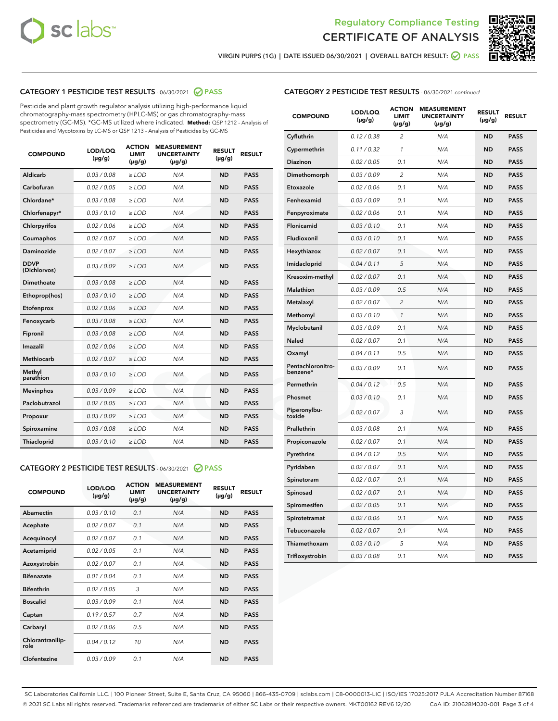



VIRGIN PURPS (1G) | DATE ISSUED 06/30/2021 | OVERALL BATCH RESULT: ● PASS

# CATEGORY 1 PESTICIDE TEST RESULTS - 06/30/2021 2 PASS

Pesticide and plant growth regulator analysis utilizing high-performance liquid chromatography-mass spectrometry (HPLC-MS) or gas chromatography-mass spectrometry (GC-MS). \*GC-MS utilized where indicated. **Method:** QSP 1212 - Analysis of Pesticides and Mycotoxins by LC-MS or QSP 1213 - Analysis of Pesticides by GC-MS

| <b>COMPOUND</b>             | LOD/LOQ<br>$(\mu g/g)$ | <b>ACTION</b><br><b>LIMIT</b><br>$(\mu g/g)$ | <b>MEASUREMENT</b><br><b>UNCERTAINTY</b><br>$(\mu g/g)$ | <b>RESULT</b><br>$(\mu g/g)$ | <b>RESULT</b> |
|-----------------------------|------------------------|----------------------------------------------|---------------------------------------------------------|------------------------------|---------------|
| Aldicarb                    | 0.03 / 0.08            | $\geq$ LOD                                   | N/A                                                     | <b>ND</b>                    | <b>PASS</b>   |
| Carbofuran                  | 0.02/0.05              | $>$ LOD                                      | N/A                                                     | <b>ND</b>                    | <b>PASS</b>   |
| Chlordane*                  | 0.03 / 0.08            | $\ge$ LOD                                    | N/A                                                     | <b>ND</b>                    | <b>PASS</b>   |
| Chlorfenapyr*               | 0.03/0.10              | $>$ LOD                                      | N/A                                                     | <b>ND</b>                    | <b>PASS</b>   |
| Chlorpyrifos                | 0.02 / 0.06            | $\ge$ LOD                                    | N/A                                                     | <b>ND</b>                    | <b>PASS</b>   |
| Coumaphos                   | 0.02 / 0.07            | $\ge$ LOD                                    | N/A                                                     | <b>ND</b>                    | <b>PASS</b>   |
| Daminozide                  | 0.02 / 0.07            | $\ge$ LOD                                    | N/A                                                     | <b>ND</b>                    | <b>PASS</b>   |
| <b>DDVP</b><br>(Dichlorvos) | 0.03/0.09              | $\ge$ LOD                                    | N/A                                                     | <b>ND</b>                    | <b>PASS</b>   |
| Dimethoate                  | 0.03/0.08              | $>$ LOD                                      | N/A                                                     | <b>ND</b>                    | <b>PASS</b>   |
| Ethoprop(hos)               | 0.03/0.10              | $\ge$ LOD                                    | N/A                                                     | <b>ND</b>                    | <b>PASS</b>   |
| Etofenprox                  | 0.02 / 0.06            | $\ge$ LOD                                    | N/A                                                     | <b>ND</b>                    | <b>PASS</b>   |
| Fenoxycarb                  | 0.03/0.08              | $\ge$ LOD                                    | N/A                                                     | <b>ND</b>                    | <b>PASS</b>   |
| Fipronil                    | 0.03/0.08              | $>$ LOD                                      | N/A                                                     | <b>ND</b>                    | <b>PASS</b>   |
| Imazalil                    | 0.02 / 0.06            | $\ge$ LOD                                    | N/A                                                     | <b>ND</b>                    | <b>PASS</b>   |
| <b>Methiocarb</b>           | 0.02 / 0.07            | $\ge$ LOD                                    | N/A                                                     | <b>ND</b>                    | <b>PASS</b>   |
| Methyl<br>parathion         | 0.03/0.10              | $\ge$ LOD                                    | N/A                                                     | <b>ND</b>                    | <b>PASS</b>   |
| <b>Mevinphos</b>            | 0.03/0.09              | $>$ LOD                                      | N/A                                                     | <b>ND</b>                    | <b>PASS</b>   |
| Paclobutrazol               | 0.02 / 0.05            | $\ge$ LOD                                    | N/A                                                     | <b>ND</b>                    | <b>PASS</b>   |
| Propoxur                    | 0.03/0.09              | $\ge$ LOD                                    | N/A                                                     | <b>ND</b>                    | <b>PASS</b>   |
| Spiroxamine                 | 0.03 / 0.08            | $\ge$ LOD                                    | N/A                                                     | <b>ND</b>                    | <b>PASS</b>   |
| Thiacloprid                 | 0.03/0.10              | $\ge$ LOD                                    | N/A                                                     | <b>ND</b>                    | <b>PASS</b>   |

### CATEGORY 2 PESTICIDE TEST RESULTS - 06/30/2021 @ PASS

| <b>COMPOUND</b>          | LOD/LOQ<br>$(\mu g/g)$ | <b>ACTION</b><br><b>LIMIT</b><br>$(\mu g/g)$ | <b>MEASUREMENT</b><br><b>UNCERTAINTY</b><br>$(\mu g/g)$ | <b>RESULT</b><br>$(\mu g/g)$ | <b>RESULT</b> |
|--------------------------|------------------------|----------------------------------------------|---------------------------------------------------------|------------------------------|---------------|
| Abamectin                | 0.03/0.10              | 0.1                                          | N/A                                                     | <b>ND</b>                    | <b>PASS</b>   |
| Acephate                 | 0.02/0.07              | 0.1                                          | N/A                                                     | <b>ND</b>                    | <b>PASS</b>   |
| Acequinocyl              | 0.02/0.07              | 0.1                                          | N/A                                                     | <b>ND</b>                    | <b>PASS</b>   |
| Acetamiprid              | 0.02/0.05              | 0.1                                          | N/A                                                     | <b>ND</b>                    | <b>PASS</b>   |
| Azoxystrobin             | 0.02/0.07              | 0.1                                          | N/A                                                     | <b>ND</b>                    | <b>PASS</b>   |
| <b>Bifenazate</b>        | 0.01/0.04              | 0.1                                          | N/A                                                     | <b>ND</b>                    | <b>PASS</b>   |
| <b>Bifenthrin</b>        | 0.02 / 0.05            | 3                                            | N/A                                                     | <b>ND</b>                    | <b>PASS</b>   |
| <b>Boscalid</b>          | 0.03/0.09              | 0.1                                          | N/A                                                     | <b>ND</b>                    | <b>PASS</b>   |
| Captan                   | 0.19/0.57              | 0.7                                          | N/A                                                     | <b>ND</b>                    | <b>PASS</b>   |
| Carbaryl                 | 0.02/0.06              | 0.5                                          | N/A                                                     | <b>ND</b>                    | <b>PASS</b>   |
| Chlorantranilip-<br>role | 0.04/0.12              | 10                                           | N/A                                                     | <b>ND</b>                    | <b>PASS</b>   |
| Clofentezine             | 0.03/0.09              | 0.1                                          | N/A                                                     | <b>ND</b>                    | <b>PASS</b>   |

| CATEGORY 2 PESTICIDE TEST RESULTS - 06/30/2021 continued |  |
|----------------------------------------------------------|--|
|                                                          |  |

| <b>COMPOUND</b>               | LOD/LOQ<br>(µg/g) | <b>ACTION</b><br>LIMIT<br>$(\mu g/g)$ | <b>MEASUREMENT</b><br><b>UNCERTAINTY</b><br>$(\mu g/g)$ | <b>RESULT</b><br>(µg/g) | <b>RESULT</b> |
|-------------------------------|-------------------|---------------------------------------|---------------------------------------------------------|-------------------------|---------------|
| Cyfluthrin                    | 0.12 / 0.38       | 2                                     | N/A                                                     | <b>ND</b>               | <b>PASS</b>   |
| Cypermethrin                  | 0.11 / 0.32       | $\mathcal{I}$                         | N/A                                                     | <b>ND</b>               | <b>PASS</b>   |
| Diazinon                      | 0.02 / 0.05       | 0.1                                   | N/A                                                     | <b>ND</b>               | <b>PASS</b>   |
| Dimethomorph                  | 0.03 / 0.09       | 2                                     | N/A                                                     | <b>ND</b>               | <b>PASS</b>   |
| Etoxazole                     | 0.02 / 0.06       | 0.1                                   | N/A                                                     | <b>ND</b>               | <b>PASS</b>   |
| Fenhexamid                    | 0.03 / 0.09       | 0.1                                   | N/A                                                     | <b>ND</b>               | <b>PASS</b>   |
| Fenpyroximate                 | 0.02 / 0.06       | 0.1                                   | N/A                                                     | <b>ND</b>               | <b>PASS</b>   |
| Flonicamid                    | 0.03 / 0.10       | 0.1                                   | N/A                                                     | <b>ND</b>               | <b>PASS</b>   |
| Fludioxonil                   | 0.03 / 0.10       | 0.1                                   | N/A                                                     | <b>ND</b>               | <b>PASS</b>   |
| Hexythiazox                   | 0.02 / 0.07       | 0.1                                   | N/A                                                     | <b>ND</b>               | <b>PASS</b>   |
| Imidacloprid                  | 0.04 / 0.11       | 5                                     | N/A                                                     | <b>ND</b>               | <b>PASS</b>   |
| Kresoxim-methyl               | 0.02 / 0.07       | 0.1                                   | N/A                                                     | <b>ND</b>               | <b>PASS</b>   |
| Malathion                     | 0.03 / 0.09       | 0.5                                   | N/A                                                     | <b>ND</b>               | <b>PASS</b>   |
| Metalaxyl                     | 0.02 / 0.07       | $\overline{c}$                        | N/A                                                     | <b>ND</b>               | <b>PASS</b>   |
| Methomyl                      | 0.03 / 0.10       | $\mathcal{I}$                         | N/A                                                     | <b>ND</b>               | <b>PASS</b>   |
| Myclobutanil                  | 0.03 / 0.09       | 0.1                                   | N/A                                                     | <b>ND</b>               | <b>PASS</b>   |
| Naled                         | 0.02 / 0.07       | 0.1                                   | N/A                                                     | <b>ND</b>               | <b>PASS</b>   |
| Oxamyl                        | 0.04 / 0.11       | 0.5                                   | N/A                                                     | <b>ND</b>               | <b>PASS</b>   |
| Pentachloronitro-<br>benzene* | 0.03/0.09         | 0.1                                   | N/A                                                     | <b>ND</b>               | <b>PASS</b>   |
| Permethrin                    | 0.04 / 0.12       | 0.5                                   | N/A                                                     | <b>ND</b>               | <b>PASS</b>   |
| Phosmet                       | 0.03 / 0.10       | 0.1                                   | N/A                                                     | <b>ND</b>               | <b>PASS</b>   |
| Piperonylbu-<br>toxide        | 0.02 / 0.07       | 3                                     | N/A                                                     | <b>ND</b>               | <b>PASS</b>   |
| Prallethrin                   | 0.03 / 0.08       | 0.1                                   | N/A                                                     | <b>ND</b>               | <b>PASS</b>   |
| Propiconazole                 | 0.02 / 0.07       | 0.1                                   | N/A                                                     | <b>ND</b>               | <b>PASS</b>   |
| Pyrethrins                    | 0.04 / 0.12       | 0.5                                   | N/A                                                     | <b>ND</b>               | <b>PASS</b>   |
| Pyridaben                     | 0.02 / 0.07       | 0.1                                   | N/A                                                     | <b>ND</b>               | <b>PASS</b>   |
| Spinetoram                    | 0.02 / 0.07       | 0.1                                   | N/A                                                     | <b>ND</b>               | <b>PASS</b>   |
| Spinosad                      | 0.02 / 0.07       | 0.1                                   | N/A                                                     | <b>ND</b>               | <b>PASS</b>   |
| Spiromesifen                  | 0.02 / 0.05       | 0.1                                   | N/A                                                     | <b>ND</b>               | <b>PASS</b>   |
| Spirotetramat                 | 0.02 / 0.06       | 0.1                                   | N/A                                                     | <b>ND</b>               | <b>PASS</b>   |
| Tebuconazole                  | 0.02 / 0.07       | 0.1                                   | N/A                                                     | <b>ND</b>               | <b>PASS</b>   |
| Thiamethoxam                  | 0.03 / 0.10       | 5                                     | N/A                                                     | <b>ND</b>               | <b>PASS</b>   |
| Trifloxystrobin               | 0.03 / 0.08       | 0.1                                   | N/A                                                     | <b>ND</b>               | <b>PASS</b>   |

SC Laboratories California LLC. | 100 Pioneer Street, Suite E, Santa Cruz, CA 95060 | 866-435-0709 | sclabs.com | C8-0000013-LIC | ISO/IES 17025:2017 PJLA Accreditation Number 87168 © 2021 SC Labs all rights reserved. Trademarks referenced are trademarks of either SC Labs or their respective owners. MKT00162 REV6 12/20 CoA ID: 210628M020-001 Page 3 of 4